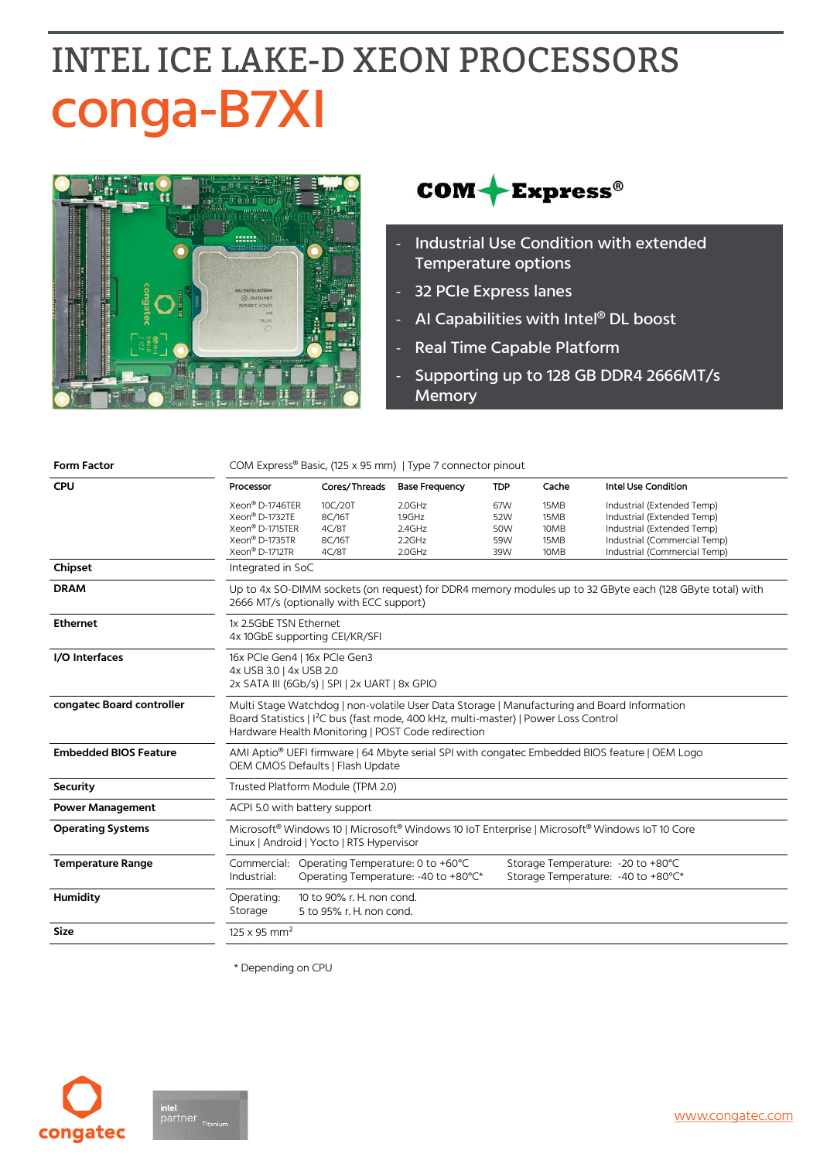## **INTEL ICE LAKE-D XEON PROCESSORS** conga-B7XI





- Industrial Use Condition with extended Temperature options
- 32 PCIe Express lanes
- AI Capabilities with Intel® DL boost
- Real Time Capable Platform
- Supporting up to 128 GB DDR4 2666MT/s **Memory**

| <b>Form Factor</b>           | COM Express <sup>®</sup> Basic, (125 x 95 mm)   Type 7 connector pinout                                                                                                                                                                              |                                                       |                                                                                       |                                 |                                      |                                                                                                                                                        |  |  |
|------------------------------|------------------------------------------------------------------------------------------------------------------------------------------------------------------------------------------------------------------------------------------------------|-------------------------------------------------------|---------------------------------------------------------------------------------------|---------------------------------|--------------------------------------|--------------------------------------------------------------------------------------------------------------------------------------------------------|--|--|
| CPU                          | Processor                                                                                                                                                                                                                                            | Cores/Threads                                         | <b>Base Frequency</b>                                                                 | <b>TDP</b>                      | Cache                                | Intel Use Condition                                                                                                                                    |  |  |
|                              | Xeon <sup>®</sup> D-1746TER<br>Xeon® D-1732TE<br>Xeon® D-1715TER<br>Xeon® D-1735TR<br>Xeon® D-1712TR                                                                                                                                                 | 10C/20T<br>8C/16T<br>4C/8T<br>8C/16T<br>4C/8T         | 2.0GHz<br>1.9GHz<br>2.4GHz<br>2.2GHz<br>2.0GHz                                        | 67W<br>52W<br>50W<br>59W<br>39W | 15MB<br>15MB<br>10MB<br>15MB<br>10MB | Industrial (Extended Temp)<br>Industrial (Extended Temp)<br>Industrial (Extended Temp)<br>Industrial (Commercial Temp)<br>Industrial (Commercial Temp) |  |  |
| Chipset                      | Integrated in SoC                                                                                                                                                                                                                                    |                                                       |                                                                                       |                                 |                                      |                                                                                                                                                        |  |  |
| <b>DRAM</b>                  | Up to 4x SO-DIMM sockets (on request) for DDR4 memory modules up to 32 GByte each (128 GByte total) with<br>2666 MT/s (optionally with ECC support)                                                                                                  |                                                       |                                                                                       |                                 |                                      |                                                                                                                                                        |  |  |
| <b>Ethernet</b>              | 1x 2.5GbE TSN Ethernet<br>4x 10GbE supporting CEI/KR/SFI                                                                                                                                                                                             |                                                       |                                                                                       |                                 |                                      |                                                                                                                                                        |  |  |
| I/O Interfaces               | 16x PCle Gen4   16x PCle Gen3<br>4x USB 3.0   4x USB 2.0<br>2x SATA III (6Gb/s)   SPI   2x UART   8x GPIO                                                                                                                                            |                                                       |                                                                                       |                                 |                                      |                                                                                                                                                        |  |  |
| congatec Board controller    | Multi Stage Watchdog   non-volatile User Data Storage   Manufacturing and Board Information<br>Board Statistics   I <sup>2</sup> C bus (fast mode, 400 kHz, multi-master)   Power Loss Control<br>Hardware Health Monitoring   POST Code redirection |                                                       |                                                                                       |                                 |                                      |                                                                                                                                                        |  |  |
| <b>Embedded BIOS Feature</b> | AMI Aptio <sup>®</sup> UEFI firmware   64 Mbyte serial SPI with congatec Embedded BIOS feature   OEM Logo<br>OEM CMOS Defaults   Flash Update                                                                                                        |                                                       |                                                                                       |                                 |                                      |                                                                                                                                                        |  |  |
| <b>Security</b>              | Trusted Platform Module (TPM 2.0)                                                                                                                                                                                                                    |                                                       |                                                                                       |                                 |                                      |                                                                                                                                                        |  |  |
| <b>Power Management</b>      | ACPI 5.0 with battery support                                                                                                                                                                                                                        |                                                       |                                                                                       |                                 |                                      |                                                                                                                                                        |  |  |
| <b>Operating Systems</b>     | Microsoft <sup>®</sup> Windows 10   Microsoft <sup>®</sup> Windows 10   oT Enterprise   Microsoft <sup>®</sup> Windows   oT 10 Core<br>Linux   Android   Yocto   RTS Hypervisor                                                                      |                                                       |                                                                                       |                                 |                                      |                                                                                                                                                        |  |  |
| <b>Temperature Range</b>     | Industrial:                                                                                                                                                                                                                                          |                                                       | Commercial: Operating Temperature: 0 to +60°C<br>Operating Temperature: -40 to +80°C* |                                 |                                      | Storage Temperature: - 20 to +80°C<br>Storage Temperature: -40 to +80°C*                                                                               |  |  |
| Humidity                     | Operating:<br>Storage                                                                                                                                                                                                                                | 10 to 90% r. H. non cond.<br>5 to 95% r. H. non cond. |                                                                                       |                                 |                                      |                                                                                                                                                        |  |  |
| <b>Size</b>                  | $125 \times 95$ mm <sup>2</sup>                                                                                                                                                                                                                      |                                                       |                                                                                       |                                 |                                      |                                                                                                                                                        |  |  |

\* Depending on CPU

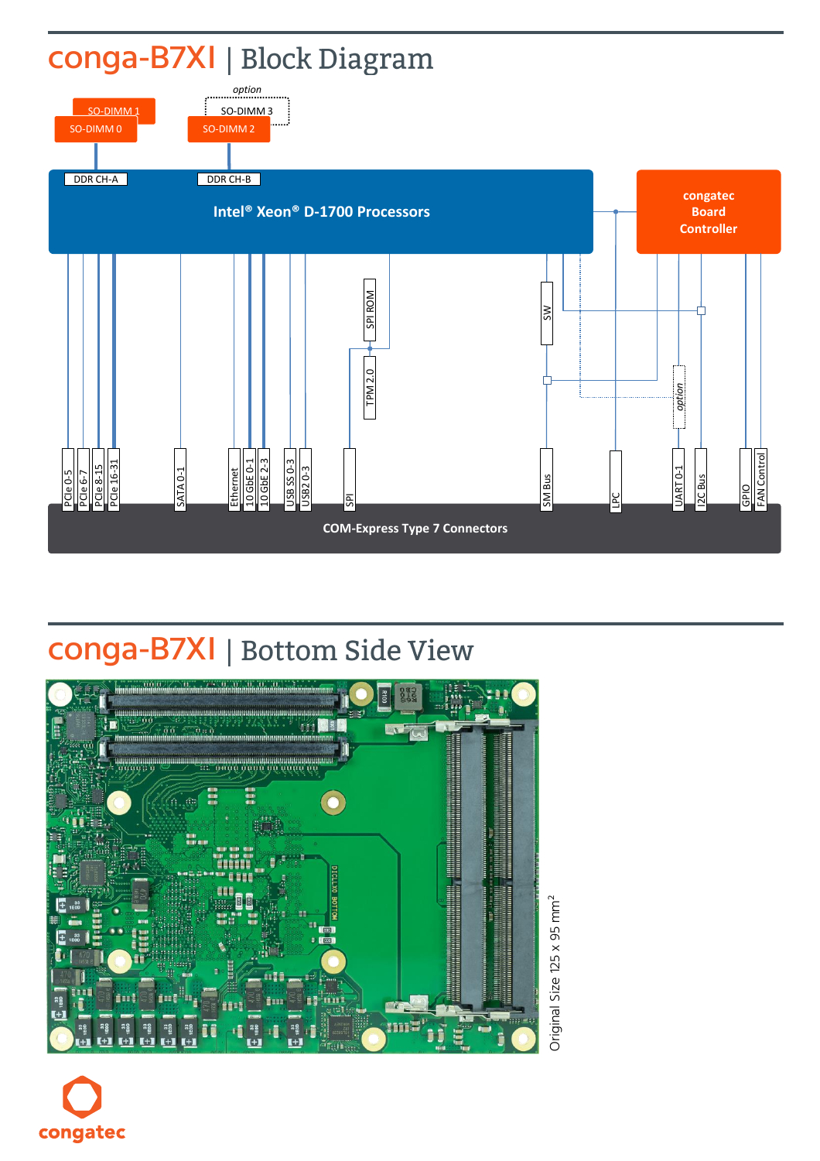

## conga-B7XI | Bottom Side View



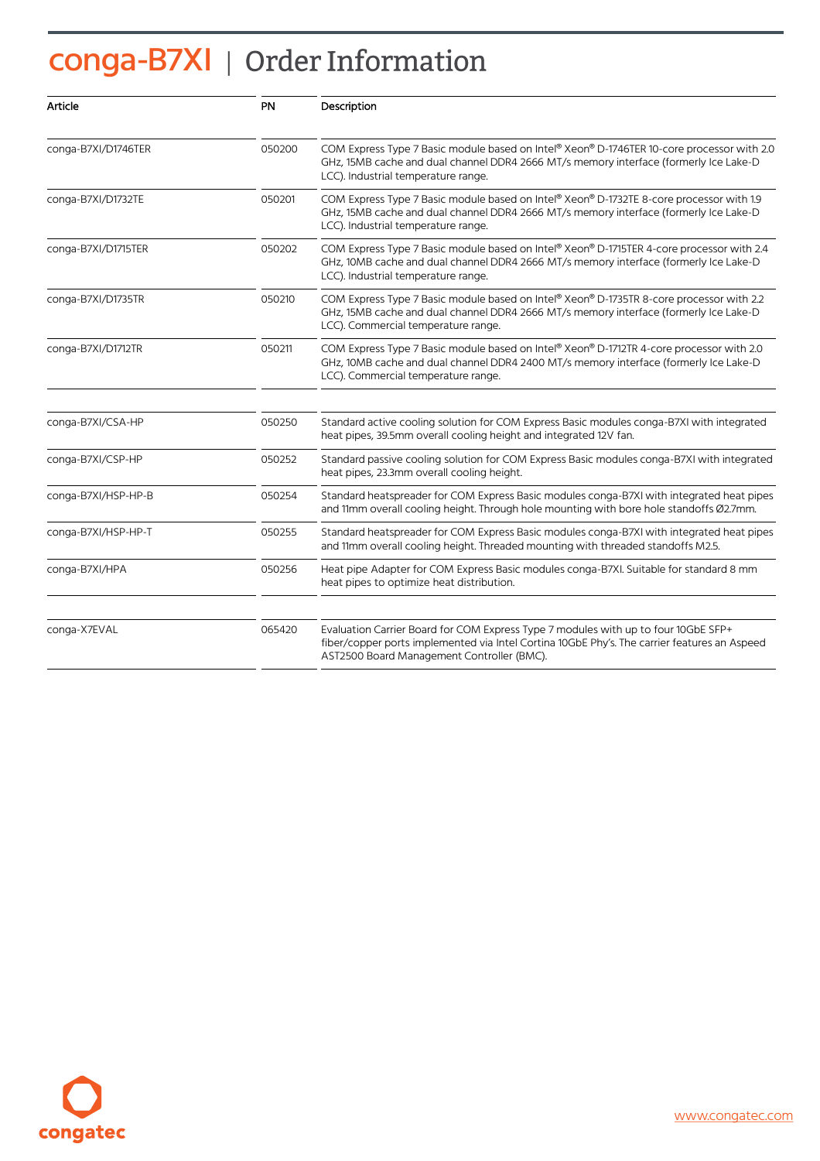## conga-B7XI | Order Information

| Article             | PN     | Description                                                                                                                                                                                                                      |  |
|---------------------|--------|----------------------------------------------------------------------------------------------------------------------------------------------------------------------------------------------------------------------------------|--|
| conga-B7XI/D1746TER | 050200 | COM Express Type 7 Basic module based on Intel® Xeon® D-1746TER 10-core processor with 2.0<br>GHz, 15MB cache and dual channel DDR4 2666 MT/s memory interface (formerly Ice Lake-D<br>LCC). Industrial temperature range.       |  |
| conga-B7XI/D1732TE  | 050201 | COM Express Type 7 Basic module based on Intel® Xeon® D-1732TE 8-core processor with 1.9<br>GHz, 15MB cache and dual channel DDR4 2666 MT/s memory interface (formerly Ice Lake-D<br>LCC). Industrial temperature range.         |  |
| conga-B7XI/D1715TER | 050202 | COM Express Type 7 Basic module based on Intel® Xeon® D-1715TER 4-core processor with 2.4<br>GHz, 10MB cache and dual channel DDR4 2666 MT/s memory interface (formerly Ice Lake-D<br>LCC). Industrial temperature range.        |  |
| conga-B7XI/D1735TR  | 050210 | COM Express Type 7 Basic module based on Intel® Xeon® D-1735TR 8-core processor with 2.2<br>GHz, 15MB cache and dual channel DDR4 2666 MT/s memory interface (formerly Ice Lake-D<br>LCC). Commercial temperature range.         |  |
| conga-B7XI/D1712TR  | 050211 | COM Express Type 7 Basic module based on Intel® Xeon® D-1712TR 4-core processor with 2.0<br>GHz, 10MB cache and dual channel DDR4 2400 MT/s memory interface (formerly Ice Lake-D<br>LCC). Commercial temperature range.         |  |
| conga-B7XI/CSA-HP   | 050250 | Standard active cooling solution for COM Express Basic modules conga-B7XI with integrated<br>heat pipes, 39.5mm overall cooling height and integrated 12V fan.                                                                   |  |
| conga-B7XI/CSP-HP   | 050252 | Standard passive cooling solution for COM Express Basic modules conga-B7XI with integrated<br>heat pipes, 23.3mm overall cooling height.                                                                                         |  |
| conga-B7XI/HSP-HP-B | 050254 | Standard heatspreader for COM Express Basic modules conga-B7XI with integrated heat pipes<br>and 11mm overall cooling height. Through hole mounting with bore hole standoffs Ø2.7mm.                                             |  |
| conga-B7XI/HSP-HP-T | 050255 | Standard heatspreader for COM Express Basic modules conga-B7XI with integrated heat pipes<br>and 11mm overall cooling height. Threaded mounting with threaded standoffs M2.5.                                                    |  |
| conga-B7XI/HPA      | 050256 | Heat pipe Adapter for COM Express Basic modules conga-B7XI. Suitable for standard 8 mm<br>heat pipes to optimize heat distribution.                                                                                              |  |
| conga-X7EVAL        | 065420 | Evaluation Carrier Board for COM Express Type 7 modules with up to four 10GbE SFP+<br>fiber/copper ports implemented via Intel Cortina 10GbE Phy's. The carrier features an Aspeed<br>AST2500 Board Management Controller (BMC). |  |